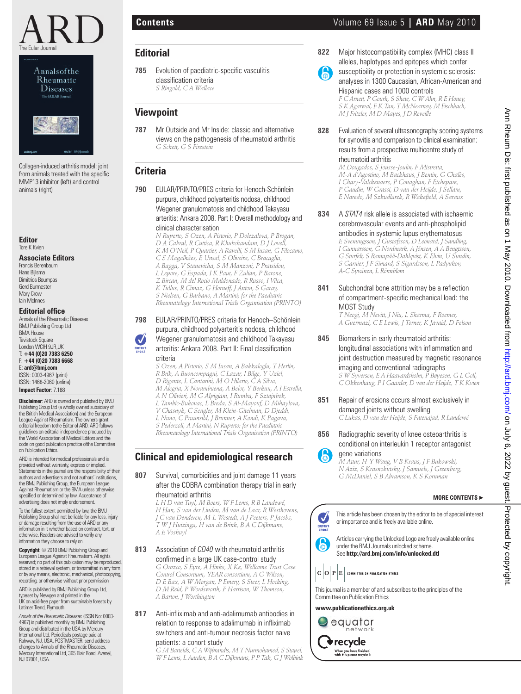

Annalsofthe Rheumatic **Diseases** The EULAR Journal



Collagen-induced arthritis model: joint from animals treated with the specific MMP13 inhibitor (left) and control animals (right)

**Editor** Tore K Kvien

#### **Associate Editors**

Francis Berenbaum Hans Bijlsma Dimitrios Boumpas Gerd Burmester Mary Crow Iain McInnes

#### **Editorial office**

Annals of the Rheumatic Diseases BMJ Publishing Group Ltd BMA House Tavistock Square London WCIH 9JR,UK T: **+44 (0)20 7383 6250** F: **+44 (0)20 7383 6668** E: **ard@bmj.com** ISSN: 0003-4967 (print) ISSN: 1468-2060 (online) **Impact Factor**: 7.188

**Disclaimer**: ARD is owned and published by BMJ Publishing Group Ltd (a wholly owned subsidiary of the British Medical Association) and the European League Against Rheumatism. The owners grant editorial freedom tothe Editor of ARD. ARD follows guidelines on editorial independence produced by the World Association of Medical Editors and the code on good publication practice ofthe Committee on Publication Ethics.

ARD is intended for medical professionals and is provided without warranty, express or implied. Statements in the journal are the responsibility of their authors and advertisers and not authors' institutions, the BMJ Publishing Group, the European League Against Rheumatism or the BMA unless otherwise specified or determined by law. Acceptance of advertising does not imply endorsement.

To the fullest extent permitted by law, the BMJ Publishing Group shall not be liable for any loss, injury or damage resulting from the use of ARD or any information in it whether based on contract, tort, or otherwise. Readers are advised to verify any information they choose to rely on.

**Copyright**: © 2010 BMJ Publishing Group and European League Against Rheumatism. All rights reserved; no part of this publication may be reproduced, stored in a retrieval system, or transmitted in any form or by any means, electronic, mechanical, photocopying, recording, or otherwise without prior permission ARD is published by BMJ Publishing Group Ltd,

typeset by Newgen and printed in the UK on acid-free paper from sustainable forests by Latimer Trend, Plymouth

*Annals of the Rheumatic Diseases* (ISSN No: 0003- 4967) is published monthly by BMJ Publishing Group and distributed in the USA by Mercury International Ltd. Periodicals postage paid at Rahway, NJ, USA. POSTMASTER: send address changes to Annals of the Rheumatic Diseases, Mercury International Ltd, 365 Blair Road, Avenel, NJ 07001, USA.

# **Editorial**

**785** Evolution of paediatric-specific vasculitis classification criteria  *S Ringold, C A Wallace*

## **Viewpoint**

**787** Mr Outside and Mr Inside: classic and alternative views on the pathogenesis of rheumatoid arthritis  *G Schett, G S Firestein*

### **Criteria**

**790** EULAR/PRINTO/PRES criteria for Henoch-Schönlein purpura, childhood polyarteritis nodosa, childhood Wegener granulomatosis and childhood Takayasu arteritis: Ankara 2008. Part I: Overall methodology and clinical characterisation

 *N Ruperto, S Ozen, A Pistorio, P Dolezalova, P Brogan, D A Cabral, R Cuttica, R Khubchandani, D J Lovell, K M O'Neil, P Quartier, A Ravelli, S M Iusan, G Filocamo, C S Magalhães, E Unsal, S Oliveira, C Bracaglia, A Bagga, V Stanevicha, S M Manzoni, P Pratsidou, L Lepore, G Espada, I K Paut, F Zulian, P Barone, Z Bircan, M del Rocio Maldonado, R Russo, I Vilca, K Tullus, R Cimaz, G Horneff, J Anton, S Garay, S Nielsen, G Barbano, A Martini; for the Paediatric Rheumatology International Trials Organisation (PRINTO)*

### **798** EULAR/PRINTO/PRES criteria for Henoch–Schönlein purpura, childhood polyarteritis nodosa, childhood

Wegener granulomatosis and childhood Takayasu arteritis: Ankara 2008. Part II: Final classification criteria

 *S Ozen, A Pistorio, S M Iusan, A Bakkaloglu, T Herlin, R Brik, A Buoncompagni, C Lazar, I Bilge, Y Uziel, D Rigante, L Cantarini, M O Hilario, C A Silva, M Alegria, X Norambuena, A Belot, Y Berkun, A I Estrella, A N Olivieri, M G Alpigiani, I Rumba, F Sztajnbok, L Tambic-Bukovac, L Breda, S Al-Mayouf, D Mihaylova, V Chasnyk, C Sengler, M Klein-Gitelman, D Djeddi, L Nuno, C Pruunsild, J Brunner, A Kondi, K Pagava, S Pederzoli, A Martini, N Ruperto; for the Paediatric Rheumatology International Trials Organisation (PRINTO)*

# **Clinical and epidemiological research**

**807** Survival, comorbidities and joint damage 11 years after the COBRA combination therapy trial in early rheumatoid arthritis

 *L H D van Tuyl, M Boers, W F Lems, R B Landewé, H Han, S van der Linden, M van de Laar, R Westhovens, J C van Denderen, M-L Westedt, A J Peeters, P Jacobs, T W J Huizinga, H van de Brink, B A C Dijkmans, A E Voskuyl*

#### **813** Association of *CD40* with rheumatoid arthritis confirmed in a large UK case-control study

 *G Orozco, S Eyre, A Hinks, X Ke, Wellcome Trust Case Control Consortium, YEAR consortium, A G Wilson, D E Bax, A W Morgan, P Emery, S Steer, L Hocking, D M Reid, P Wordsworth, P Harrison, W Thomson, A Barton, J Worthington*

#### **817** Anti-infliximab and anti-adalimumab antibodies in relation to response to adalimumab in infliximab switchers and anti-tumour necrosis factor naive

#### patients: a cohort study

 *G M Bartelds, C A Wijbrandts, M T Nurmohamed, S Stapel, W F Lems, L Aarden, B A C Dijkmans, P P Tak, G J Wolbink*

- **822** Major histocompatibility complex (MHC) class II alleles, haplotypes and epitopes which confer **B** 
	- susceptibility or protection in systemic sclerosis: analyses in 1300 Caucasian, African-American and Hispanic cases and 1000 controls  *F C Arnett, P Gourh, S Shete, C W Ahn, R E Honey, S K Agarwal, F K Tan, T McNearney, M Fischbach, M J Fritzler, M D Mayes, J D Reveille*
- **828** Evaluation of several ultrasonography scoring systems for synovitis and comparison to clinical examination: results from a prospective multicentre study of rheumatoid arthritis

 *M Dougados, S Jousse-Joulin, F Mistretta, M-A d'Agostino, M Backhaus, J Bentin, G Chalès, I Chary-Valckenaere, P Conaghan, F Etchepare, P Gaudin, W Grassi, D van der Heijde, J Sellam, E Naredo, M Szkudlarek, R Wakefi eld, A Saraux*

- **834** A *STAT4* risk allele is associated with ischaemic cerebrovascular events and anti-phospholipid antibodies in systemic lupus erythematosus  *E Svenungsson, J Gustafsson, D Leonard, J Sandling, I Gunnarsson, G Nordmark, A Jönsen, A A Bengtsson, G Sturfelt, S Rantapää-Dahlqvist, K Elvin, U Sundin, S Garnier, J F Simard, S Sigurdsson, L Padyukov, A-C Syvänen, L Rönnblom*
- **841** Subchondral bone attrition may be a reflection of compartment-specific mechanical load: the MOST Study

 *T Neogi, M Nevitt, J Niu, L Sharma, F Roemer, A Guermazi, C E Lewis, J Torner, K Javaid, D Felson*

**845** Biomarkers in early rheumatoid arthritis: longitudinal associations with inflammation and joint destruction measured by magnetic resonance imaging and conventional radiographs  *S W Syversen, E A Haavardsholm, P Bøyesen, G L Goll,* 

*C Okkenhaug, P I Gaarder, D van der Heijde, T K Kvien*

- **851** Repair of erosions occurs almost exclusively in damaged joints without swelling  *C Lukas, D van der Heijde, S Fatenajad, R Landewé*
- **856** Radiographic severity of knee osteoarthritis is conditional on interleukin 1 receptor antagonist

gene variations  *Guide System Burns are arritations M Attur, H-Y Wang, V B Kraus, J F Bukowski, N Aziz, S Krasnokutsky, J Samuels, J Greenberg, G McDaniel, S B Abramson, K S Kornman*

### **MORE CONTENTS** ▶



**www.publicationethics.org.uk**